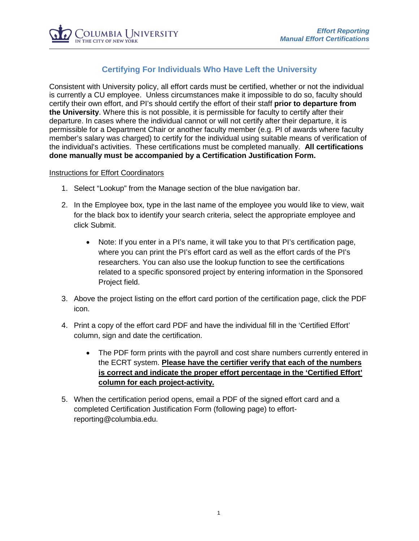

## **Certifying For Individuals Who Have Left the University**

Consistent with University policy, all effort cards must be certified, whether or not the individual is currently a CU employee. Unless circumstances make it impossible to do so, faculty should certify their own effort, and PI's should certify the effort of their staff **prior to departure from the University**. Where this is not possible, it is permissible for faculty to certify after their departure. In cases where the individual cannot or will not certify after their departure, it is permissible for a Department Chair or another faculty member (e.g. PI of awards where faculty member's salary was charged) to certify for the individual using suitable means of verification of the individual's activities. These certifications must be completed manually. **All certifications done manually must be accompanied by a Certification Justification Form.** 

## Instructions for Effort Coordinators

- 1. Select "Lookup" from the Manage section of the blue navigation bar.
- 2. In the Employee box, type in the last name of the employee you would like to view, wait for the black box to identify your search criteria, select the appropriate employee and click Submit.
	- Note: If you enter in a PI's name, it will take you to that PI's certification page, where you can print the PI's effort card as well as the effort cards of the PI's researchers. You can also use the lookup function to see the certifications related to a specific sponsored project by entering information in the Sponsored Project field.
- 3. Above the project listing on the effort card portion of the certification page, click the PDF icon.
- 4. Print a copy of the effort card PDF and have the individual fill in the 'Certified Effort' column, sign and date the certification.
	- The PDF form prints with the payroll and cost share numbers currently entered in the ECRT system. **Please have the certifier verify that each of the numbers is correct and indicate the proper effort percentage in the 'Certified Effort' column for each project-activity.**
- 5. When the certification period opens, email a PDF of the signed effort card and a completed Certification Justification Form (following page) to effortreporting@columbia.edu.